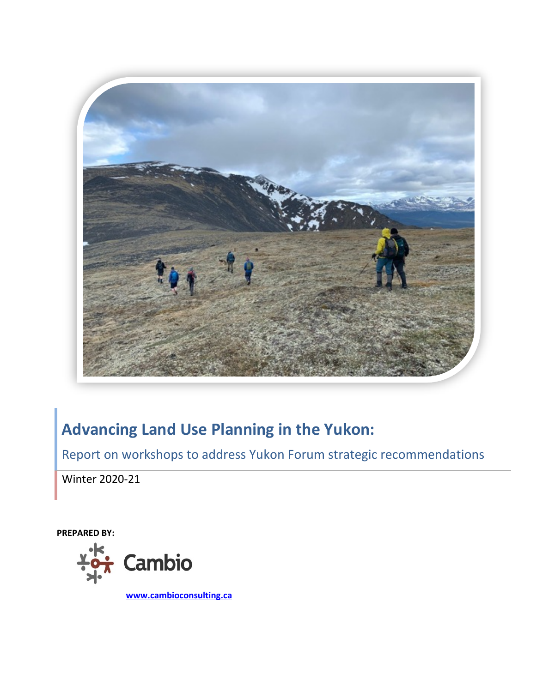

# **Advancing Land Use Planning in the Yukon:**

Report on workshops to address Yukon Forum strategic recommendations

Winter 2020-21

**PREPARED BY:**



**[www.cambioconsulting.ca](http://www.cambioconsulting.ca/)**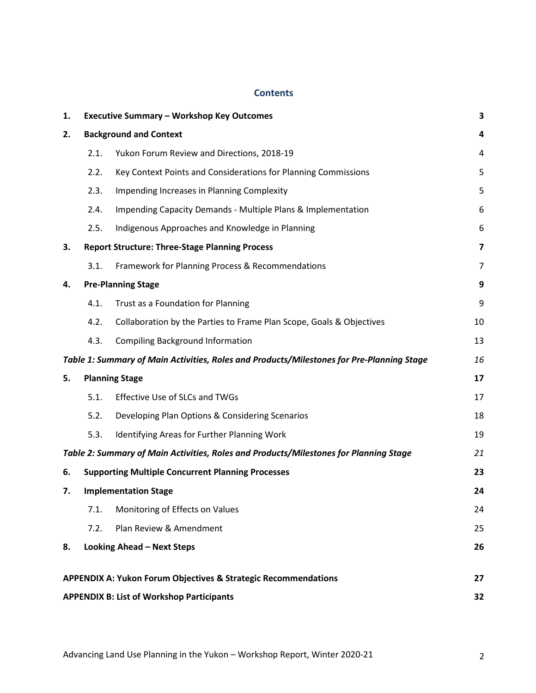### **Contents**

| 1.                                                                                        | <b>Executive Summary - Workshop Key Outcomes</b> |                                                                                       |    |  |
|-------------------------------------------------------------------------------------------|--------------------------------------------------|---------------------------------------------------------------------------------------|----|--|
| 2.                                                                                        | <b>Background and Context</b>                    |                                                                                       |    |  |
|                                                                                           | 2.1.                                             | Yukon Forum Review and Directions, 2018-19                                            | 4  |  |
|                                                                                           | 2.2.                                             | Key Context Points and Considerations for Planning Commissions                        | 5  |  |
|                                                                                           | 2.3.                                             | Impending Increases in Planning Complexity                                            | 5  |  |
|                                                                                           | 2.4.                                             | Impending Capacity Demands - Multiple Plans & Implementation                          | 6  |  |
|                                                                                           | 2.5.                                             | Indigenous Approaches and Knowledge in Planning                                       | 6  |  |
| 3.                                                                                        |                                                  | <b>Report Structure: Three-Stage Planning Process</b>                                 | 7  |  |
|                                                                                           | 3.1.                                             | Framework for Planning Process & Recommendations                                      | 7  |  |
| 4.                                                                                        | <b>Pre-Planning Stage</b>                        |                                                                                       |    |  |
|                                                                                           | 4.1.                                             | Trust as a Foundation for Planning                                                    | 9  |  |
|                                                                                           | 4.2.                                             | Collaboration by the Parties to Frame Plan Scope, Goals & Objectives                  | 10 |  |
|                                                                                           | 4.3.                                             | <b>Compiling Background Information</b>                                               | 13 |  |
| Table 1: Summary of Main Activities, Roles and Products/Milestones for Pre-Planning Stage |                                                  |                                                                                       | 16 |  |
| 5.                                                                                        |                                                  | <b>Planning Stage</b>                                                                 | 17 |  |
|                                                                                           | 5.1.                                             | Effective Use of SLCs and TWGs                                                        | 17 |  |
|                                                                                           | 5.2.                                             | Developing Plan Options & Considering Scenarios                                       | 18 |  |
|                                                                                           | 5.3.                                             | Identifying Areas for Further Planning Work                                           | 19 |  |
|                                                                                           |                                                  | Table 2: Summary of Main Activities, Roles and Products/Milestones for Planning Stage | 21 |  |
| 6.                                                                                        |                                                  | <b>Supporting Multiple Concurrent Planning Processes</b>                              | 23 |  |
| 7.                                                                                        |                                                  | <b>Implementation Stage</b>                                                           | 24 |  |
|                                                                                           | 7.1.                                             | Monitoring of Effects on Values                                                       | 24 |  |
|                                                                                           | 7.2.                                             | Plan Review & Amendment                                                               | 25 |  |
| 8.                                                                                        |                                                  | <b>Looking Ahead - Next Steps</b>                                                     | 26 |  |
|                                                                                           |                                                  | APPENDIX A: Yukon Forum Objectives & Strategic Recommendations                        | 27 |  |
| <b>APPENDIX B: List of Workshop Participants</b><br>32                                    |                                                  |                                                                                       |    |  |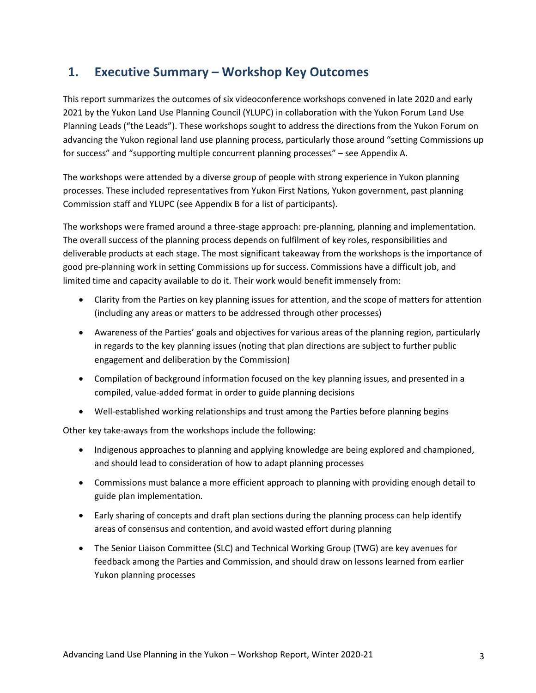## <span id="page-2-0"></span>**1. Executive Summary – Workshop Key Outcomes**

This report summarizes the outcomes of six videoconference workshops convened in late 2020 and early 2021 by the Yukon Land Use Planning Council (YLUPC) in collaboration with the Yukon Forum Land Use Planning Leads ("the Leads"). These workshops sought to address the directions from the Yukon Forum on advancing the Yukon regional land use planning process, particularly those around "setting Commissions up for success" and "supporting multiple concurrent planning processes" – see Appendix A.

The workshops were attended by a diverse group of people with strong experience in Yukon planning processes. These included representatives from Yukon First Nations, Yukon government, past planning Commission staff and YLUPC (see Appendix B for a list of participants).

The workshops were framed around a three-stage approach: pre-planning, planning and implementation. The overall success of the planning process depends on fulfilment of key roles, responsibilities and deliverable products at each stage. The most significant takeaway from the workshops is the importance of good pre-planning work in setting Commissions up for success. Commissions have a difficult job, and limited time and capacity available to do it. Their work would benefit immensely from:

- Clarity from the Parties on key planning issues for attention, and the scope of matters for attention (including any areas or matters to be addressed through other processes)
- Awareness of the Parties' goals and objectives for various areas of the planning region, particularly in regards to the key planning issues (noting that plan directions are subject to further public engagement and deliberation by the Commission)
- Compilation of background information focused on the key planning issues, and presented in a compiled, value-added format in order to guide planning decisions
- Well-established working relationships and trust among the Parties before planning begins

Other key take-aways from the workshops include the following:

- Indigenous approaches to planning and applying knowledge are being explored and championed, and should lead to consideration of how to adapt planning processes
- Commissions must balance a more efficient approach to planning with providing enough detail to guide plan implementation.
- Early sharing of concepts and draft plan sections during the planning process can help identify areas of consensus and contention, and avoid wasted effort during planning
- The Senior Liaison Committee (SLC) and Technical Working Group (TWG) are key avenues for feedback among the Parties and Commission, and should draw on lessons learned from earlier Yukon planning processes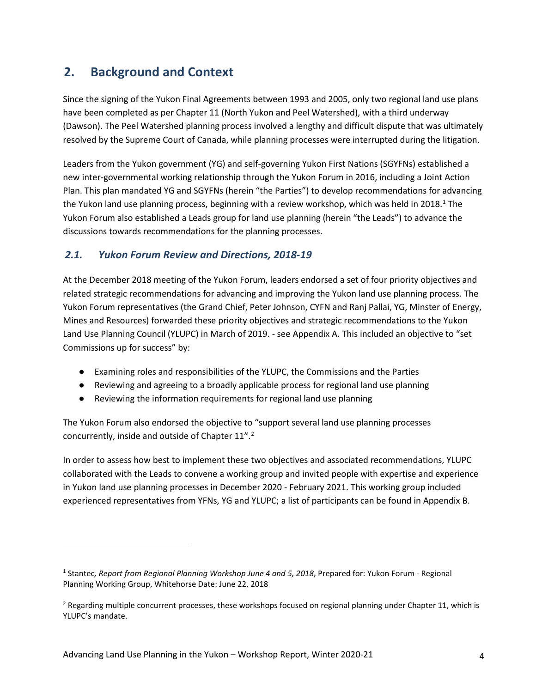## <span id="page-3-0"></span>**2. Background and Context**

Since the signing of the Yukon Final Agreements between 1993 and 2005, only two regional land use plans have been completed as per Chapter 11 (North Yukon and Peel Watershed), with a third underway (Dawson). The Peel Watershed planning process involved a lengthy and difficult dispute that was ultimately resolved by the Supreme Court of Canada, while planning processes were interrupted during the litigation.

Leaders from the Yukon government (YG) and self-governing Yukon First Nations (SGYFNs) established a new inter-governmental working relationship through the Yukon Forum in 2016, including a Joint Action Plan. This plan mandated YG and SGYFNs (herein "the Parties") to develop recommendations for advancing the Yukon land use planning process, beginning with a review workshop, which was held in 20[1](#page-3-2)8.<sup>1</sup> The Yukon Forum also established a Leads group for land use planning (herein "the Leads") to advance the discussions towards recommendations for the planning processes.

## <span id="page-3-1"></span>*2.1. Yukon Forum Review and Directions, 2018-19*

At the December 2018 meeting of the Yukon Forum, leaders endorsed a set of four priority objectives and related strategic recommendations for advancing and improving the Yukon land use planning process. The Yukon Forum representatives (the Grand Chief, Peter Johnson, CYFN and Ranj Pallai, YG, Minster of Energy, Mines and Resources) forwarded these priority objectives and strategic recommendations to the Yukon Land Use Planning Council (YLUPC) in March of 2019. - see Appendix A. This included an objective to "set Commissions up for success" by:

- Examining roles and responsibilities of the YLUPC, the Commissions and the Parties
- Reviewing and agreeing to a broadly applicable process for regional land use planning
- Reviewing the information requirements for regional land use planning

The Yukon Forum also endorsed the objective to "support several land use planning processes concurrently, inside and outside of Chapter 11".<sup>[2](#page-3-3)</sup>

In order to assess how best to implement these two objectives and associated recommendations, YLUPC collaborated with the Leads to convene a working group and invited people with expertise and experience in Yukon land use planning processes in December 2020 - February 2021. This working group included experienced representatives from YFNs, YG and YLUPC; a list of participants can be found in Appendix B.

<span id="page-3-2"></span><sup>1</sup> Stantec*, Report from Regional Planning Workshop June 4 and 5, 2018*, Prepared for: Yukon Forum - Regional Planning Working Group, Whitehorse Date: June 22, 2018

<span id="page-3-3"></span><sup>&</sup>lt;sup>2</sup> Regarding multiple concurrent processes, these workshops focused on regional planning under Chapter 11, which is YLUPC's mandate.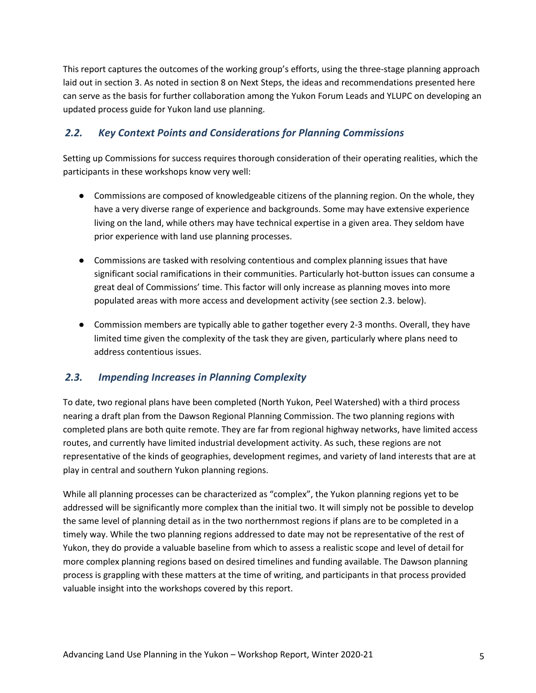This report captures the outcomes of the working group's efforts, using the three-stage planning approach laid out in section 3. As noted in section 8 on Next Steps, the ideas and recommendations presented here can serve as the basis for further collaboration among the Yukon Forum Leads and YLUPC on developing an updated process guide for Yukon land use planning.

## <span id="page-4-0"></span>*2.2. Key Context Points and Considerations for Planning Commissions*

Setting up Commissions for success requires thorough consideration of their operating realities, which the participants in these workshops know very well:

- Commissions are composed of knowledgeable citizens of the planning region. On the whole, they have a very diverse range of experience and backgrounds. Some may have extensive experience living on the land, while others may have technical expertise in a given area. They seldom have prior experience with land use planning processes.
- Commissions are tasked with resolving contentious and complex planning issues that have significant social ramifications in their communities. Particularly hot-button issues can consume a great deal of Commissions' time. This factor will only increase as planning moves into more populated areas with more access and development activity (see section 2.3. below).
- Commission members are typically able to gather together every 2-3 months. Overall, they have limited time given the complexity of the task they are given, particularly where plans need to address contentious issues.

### <span id="page-4-1"></span>*2.3. Impending Increases in Planning Complexity*

To date, two regional plans have been completed (North Yukon, Peel Watershed) with a third process nearing a draft plan from the Dawson Regional Planning Commission. The two planning regions with completed plans are both quite remote. They are far from regional highway networks, have limited access routes, and currently have limited industrial development activity. As such, these regions are not representative of the kinds of geographies, development regimes, and variety of land interests that are at play in central and southern Yukon planning regions.

While all planning processes can be characterized as "complex", the Yukon planning regions yet to be addressed will be significantly more complex than the initial two. It will simply not be possible to develop the same level of planning detail as in the two northernmost regions if plans are to be completed in a timely way. While the two planning regions addressed to date may not be representative of the rest of Yukon, they do provide a valuable baseline from which to assess a realistic scope and level of detail for more complex planning regions based on desired timelines and funding available. The Dawson planning process is grappling with these matters at the time of writing, and participants in that process provided valuable insight into the workshops covered by this report.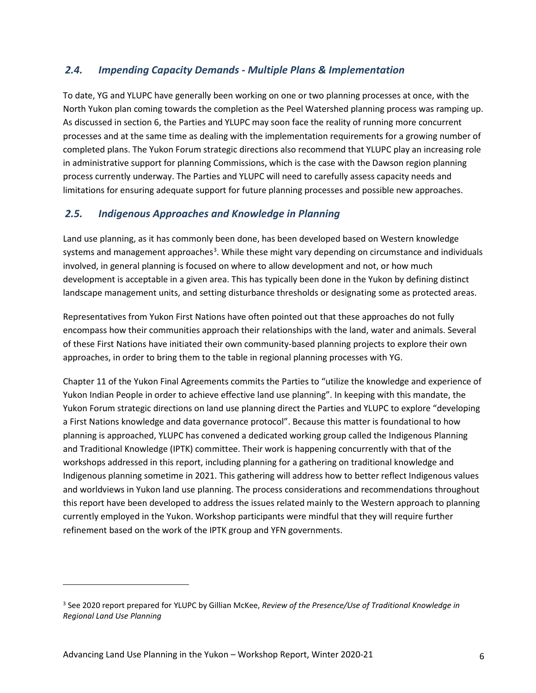## <span id="page-5-0"></span>*2.4. Impending Capacity Demands - Multiple Plans & Implementation*

To date, YG and YLUPC have generally been working on one or two planning processes at once, with the North Yukon plan coming towards the completion as the Peel Watershed planning process was ramping up. As discussed in section 6, the Parties and YLUPC may soon face the reality of running more concurrent processes and at the same time as dealing with the implementation requirements for a growing number of completed plans. The Yukon Forum strategic directions also recommend that YLUPC play an increasing role in administrative support for planning Commissions, which is the case with the Dawson region planning process currently underway. The Parties and YLUPC will need to carefully assess capacity needs and limitations for ensuring adequate support for future planning processes and possible new approaches.

## <span id="page-5-1"></span>*2.5. Indigenous Approaches and Knowledge in Planning*

Land use planning, as it has commonly been done, has been developed based on Western knowledge systems and management approaches<sup>[3](#page-5-2)</sup>. While these might vary depending on circumstance and individuals involved, in general planning is focused on where to allow development and not, or how much development is acceptable in a given area. This has typically been done in the Yukon by defining distinct landscape management units, and setting disturbance thresholds or designating some as protected areas.

Representatives from Yukon First Nations have often pointed out that these approaches do not fully encompass how their communities approach their relationships with the land, water and animals. Several of these First Nations have initiated their own community-based planning projects to explore their own approaches, in order to bring them to the table in regional planning processes with YG.

Chapter 11 of the Yukon Final Agreements commits the Parties to "utilize the knowledge and experience of Yukon Indian People in order to achieve effective land use planning". In keeping with this mandate, the Yukon Forum strategic directions on land use planning direct the Parties and YLUPC to explore "developing a First Nations knowledge and data governance protocol". Because this matter is foundational to how planning is approached, YLUPC has convened a dedicated working group called the Indigenous Planning and Traditional Knowledge (IPTK) committee. Their work is happening concurrently with that of the workshops addressed in this report, including planning for a gathering on traditional knowledge and Indigenous planning sometime in 2021. This gathering will address how to better reflect Indigenous values and worldviews in Yukon land use planning. The process considerations and recommendations throughout this report have been developed to address the issues related mainly to the Western approach to planning currently employed in the Yukon. Workshop participants were mindful that they will require further refinement based on the work of the IPTK group and YFN governments.

<span id="page-5-2"></span><sup>3</sup> See 2020 report prepared for YLUPC by Gillian McKee, *Review of the Presence/Use of Traditional Knowledge in Regional Land Use Planning*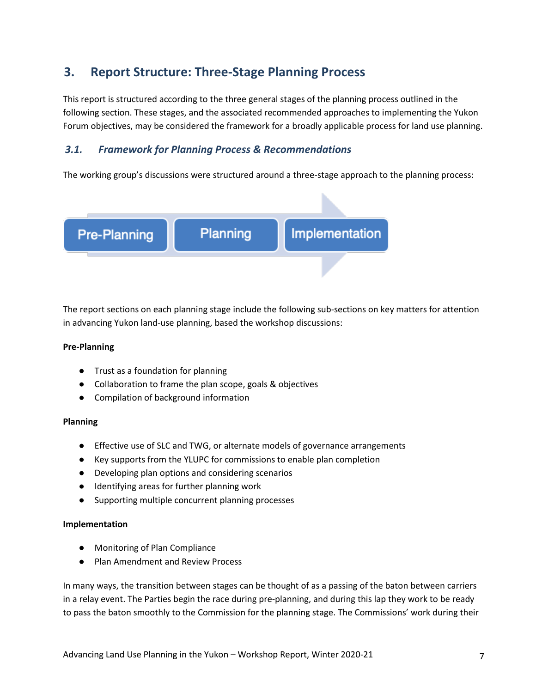## <span id="page-6-0"></span>**3. Report Structure: Three-Stage Planning Process**

This report is structured according to the three general stages of the planning process outlined in the following section. These stages, and the associated recommended approaches to implementing the Yukon Forum objectives, may be considered the framework for a broadly applicable process for land use planning.

## <span id="page-6-1"></span>*3.1. Framework for Planning Process & Recommendations*

The working group's discussions were structured around a three-stage approach to the planning process:



The report sections on each planning stage include the following sub-sections on key matters for attention in advancing Yukon land-use planning, based the workshop discussions:

### **Pre-Planning**

- Trust as a foundation for planning
- Collaboration to frame the plan scope, goals & objectives
- Compilation of background information

### **Planning**

- Effective use of SLC and TWG, or alternate models of governance arrangements
- Key supports from the YLUPC for commissions to enable plan completion
- Developing plan options and considering scenarios
- Identifying areas for further planning work
- Supporting multiple concurrent planning processes

### **Implementation**

- Monitoring of Plan Compliance
- Plan Amendment and Review Process

In many ways, the transition between stages can be thought of as a passing of the baton between carriers in a relay event. The Parties begin the race during pre-planning, and during this lap they work to be ready to pass the baton smoothly to the Commission for the planning stage. The Commissions' work during their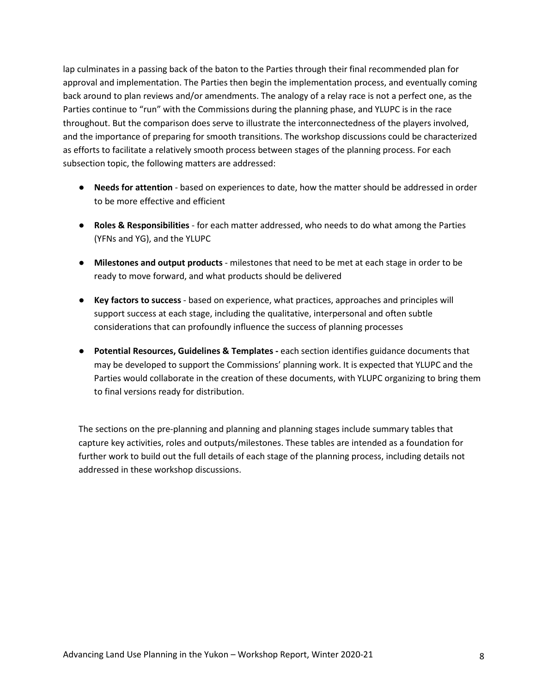lap culminates in a passing back of the baton to the Parties through their final recommended plan for approval and implementation. The Parties then begin the implementation process, and eventually coming back around to plan reviews and/or amendments. The analogy of a relay race is not a perfect one, as the Parties continue to "run" with the Commissions during the planning phase, and YLUPC is in the race throughout. But the comparison does serve to illustrate the interconnectedness of the players involved, and the importance of preparing for smooth transitions. The workshop discussions could be characterized as efforts to facilitate a relatively smooth process between stages of the planning process. For each subsection topic, the following matters are addressed:

- **Needs for attention** based on experiences to date, how the matter should be addressed in order to be more effective and efficient
- **Roles & Responsibilities** for each matter addressed, who needs to do what among the Parties (YFNs and YG), and the YLUPC
- **Milestones and output products** milestones that need to be met at each stage in order to be ready to move forward, and what products should be delivered
- **Key factors to success** based on experience, what practices, approaches and principles will support success at each stage, including the qualitative, interpersonal and often subtle considerations that can profoundly influence the success of planning processes
- **Potential Resources, Guidelines & Templates -** each section identifies guidance documents that may be developed to support the Commissions' planning work. It is expected that YLUPC and the Parties would collaborate in the creation of these documents, with YLUPC organizing to bring them to final versions ready for distribution.

The sections on the pre-planning and planning and planning stages include summary tables that capture key activities, roles and outputs/milestones. These tables are intended as a foundation for further work to build out the full details of each stage of the planning process, including details not addressed in these workshop discussions.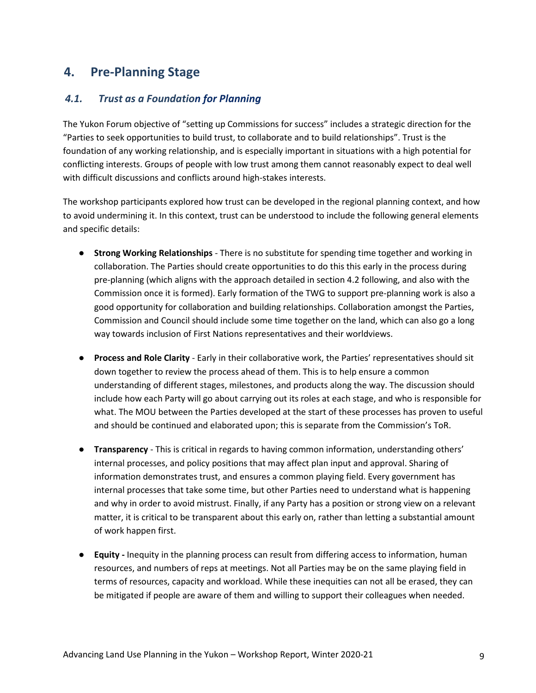## <span id="page-8-0"></span>**4. Pre-Planning Stage**

### <span id="page-8-1"></span>*4.1. Trust as a Foundation for Planning*

The Yukon Forum objective of "setting up Commissions for success" includes a strategic direction for the "Parties to seek opportunities to build trust, to collaborate and to build relationships". Trust is the foundation of any working relationship, and is especially important in situations with a high potential for conflicting interests. Groups of people with low trust among them cannot reasonably expect to deal well with difficult discussions and conflicts around high-stakes interests.

The workshop participants explored how trust can be developed in the regional planning context, and how to avoid undermining it. In this context, trust can be understood to include the following general elements and specific details:

- **Strong Working Relationships** There is no substitute for spending time together and working in collaboration. The Parties should create opportunities to do this this early in the process during pre-planning (which aligns with the approach detailed in section 4.2 following, and also with the Commission once it is formed). Early formation of the TWG to support pre-planning work is also a good opportunity for collaboration and building relationships. Collaboration amongst the Parties, Commission and Council should include some time together on the land, which can also go a long way towards inclusion of First Nations representatives and their worldviews.
- **Process and Role Clarity** Early in their collaborative work, the Parties' representatives should sit down together to review the process ahead of them. This is to help ensure a common understanding of different stages, milestones, and products along the way. The discussion should include how each Party will go about carrying out its roles at each stage, and who is responsible for what. The MOU between the Parties developed at the start of these processes has proven to useful and should be continued and elaborated upon; this is separate from the Commission's ToR.
- **Transparency** This is critical in regards to having common information, understanding others' internal processes, and policy positions that may affect plan input and approval. Sharing of information demonstrates trust, and ensures a common playing field. Every government has internal processes that take some time, but other Parties need to understand what is happening and why in order to avoid mistrust. Finally, if any Party has a position or strong view on a relevant matter, it is critical to be transparent about this early on, rather than letting a substantial amount of work happen first.
- **Equity -** Inequity in the planning process can result from differing access to information, human resources, and numbers of reps at meetings. Not all Parties may be on the same playing field in terms of resources, capacity and workload. While these inequities can not all be erased, they can be mitigated if people are aware of them and willing to support their colleagues when needed.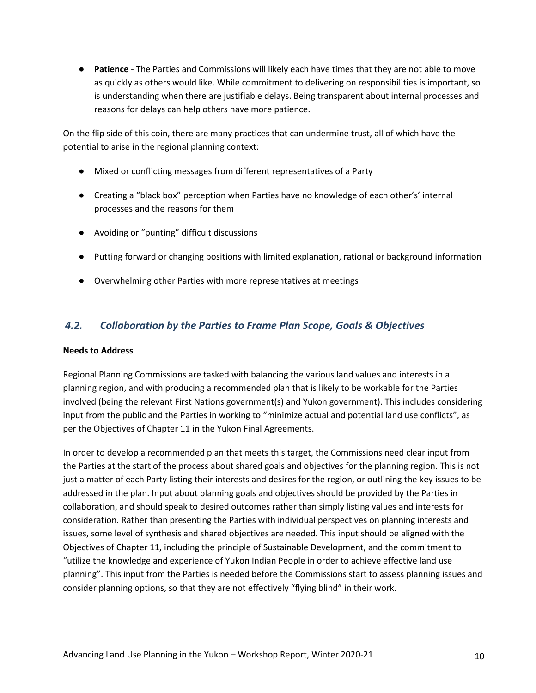● **Patience** - The Parties and Commissions will likely each have times that they are not able to move as quickly as others would like. While commitment to delivering on responsibilities is important, so is understanding when there are justifiable delays. Being transparent about internal processes and reasons for delays can help others have more patience.

On the flip side of this coin, there are many practices that can undermine trust, all of which have the potential to arise in the regional planning context:

- Mixed or conflicting messages from different representatives of a Party
- Creating a "black box" perception when Parties have no knowledge of each other's' internal processes and the reasons for them
- Avoiding or "punting" difficult discussions
- Putting forward or changing positions with limited explanation, rational or background information
- Overwhelming other Parties with more representatives at meetings

### <span id="page-9-0"></span>*4.2. Collaboration by the Parties to Frame Plan Scope, Goals & Objectives*

### **Needs to Address**

Regional Planning Commissions are tasked with balancing the various land values and interests in a planning region, and with producing a recommended plan that is likely to be workable for the Parties involved (being the relevant First Nations government(s) and Yukon government). This includes considering input from the public and the Parties in working to "minimize actual and potential land use conflicts", as per the Objectives of Chapter 11 in the Yukon Final Agreements.

In order to develop a recommended plan that meets this target, the Commissions need clear input from the Parties at the start of the process about shared goals and objectives for the planning region. This is not just a matter of each Party listing their interests and desires for the region, or outlining the key issues to be addressed in the plan. Input about planning goals and objectives should be provided by the Parties in collaboration, and should speak to desired outcomes rather than simply listing values and interests for consideration. Rather than presenting the Parties with individual perspectives on planning interests and issues, some level of synthesis and shared objectives are needed. This input should be aligned with the Objectives of Chapter 11, including the principle of Sustainable Development, and the commitment to "utilize the knowledge and experience of Yukon Indian People in order to achieve effective land use planning". This input from the Parties is needed before the Commissions start to assess planning issues and consider planning options, so that they are not effectively "flying blind" in their work.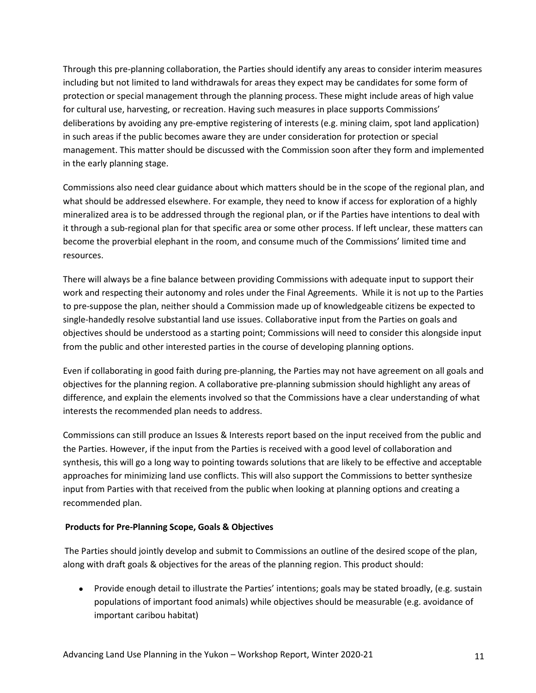Through this pre-planning collaboration, the Parties should identify any areas to consider interim measures including but not limited to land withdrawals for areas they expect may be candidates for some form of protection or special management through the planning process. These might include areas of high value for cultural use, harvesting, or recreation. Having such measures in place supports Commissions' deliberations by avoiding any pre-emptive registering of interests (e.g. mining claim, spot land application) in such areas if the public becomes aware they are under consideration for protection or special management. This matter should be discussed with the Commission soon after they form and implemented in the early planning stage.

Commissions also need clear guidance about which matters should be in the scope of the regional plan, and what should be addressed elsewhere. For example, they need to know if access for exploration of a highly mineralized area is to be addressed through the regional plan, or if the Parties have intentions to deal with it through a sub-regional plan for that specific area or some other process. If left unclear, these matters can become the proverbial elephant in the room, and consume much of the Commissions' limited time and resources.

There will always be a fine balance between providing Commissions with adequate input to support their work and respecting their autonomy and roles under the Final Agreements. While it is not up to the Parties to pre-suppose the plan, neither should a Commission made up of knowledgeable citizens be expected to single-handedly resolve substantial land use issues. Collaborative input from the Parties on goals and objectives should be understood as a starting point; Commissions will need to consider this alongside input from the public and other interested parties in the course of developing planning options.

Even if collaborating in good faith during pre-planning, the Parties may not have agreement on all goals and objectives for the planning region. A collaborative pre-planning submission should highlight any areas of difference, and explain the elements involved so that the Commissions have a clear understanding of what interests the recommended plan needs to address.

Commissions can still produce an Issues & Interests report based on the input received from the public and the Parties. However, if the input from the Parties is received with a good level of collaboration and synthesis, this will go a long way to pointing towards solutions that are likely to be effective and acceptable approaches for minimizing land use conflicts. This will also support the Commissions to better synthesize input from Parties with that received from the public when looking at planning options and creating a recommended plan.

### **Products for Pre-Planning Scope, Goals & Objectives**

The Parties should jointly develop and submit to Commissions an outline of the desired scope of the plan, along with draft goals & objectives for the areas of the planning region. This product should:

● Provide enough detail to illustrate the Parties' intentions; goals may be stated broadly, (e.g. sustain populations of important food animals) while objectives should be measurable (e.g. avoidance of important caribou habitat)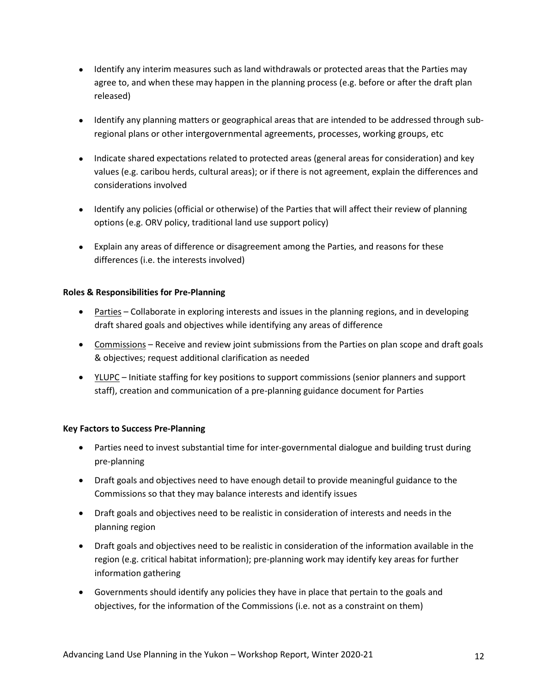- Identify any interim measures such as land withdrawals or protected areas that the Parties may agree to, and when these may happen in the planning process (e.g. before or after the draft plan released)
- Identify any planning matters or geographical areas that are intended to be addressed through subregional plans or other intergovernmental agreements, processes, working groups, etc
- Indicate shared expectations related to protected areas (general areas for consideration) and key values (e.g. caribou herds, cultural areas); or if there is not agreement, explain the differences and considerations involved
- Identify any policies (official or otherwise) of the Parties that will affect their review of planning options (e.g. ORV policy, traditional land use support policy)
- Explain any areas of difference or disagreement among the Parties, and reasons for these differences (i.e. the interests involved)

### **Roles & Responsibilities for Pre-Planning**

- Parties Collaborate in exploring interests and issues in the planning regions, and in developing draft shared goals and objectives while identifying any areas of difference
- Commissions Receive and review joint submissions from the Parties on plan scope and draft goals & objectives; request additional clarification as needed
- YLUPC Initiate staffing for key positions to support commissions (senior planners and support staff), creation and communication of a pre-planning guidance document for Parties

### **Key Factors to Success Pre-Planning**

- Parties need to invest substantial time for inter-governmental dialogue and building trust during pre-planning
- Draft goals and objectives need to have enough detail to provide meaningful guidance to the Commissions so that they may balance interests and identify issues
- Draft goals and objectives need to be realistic in consideration of interests and needs in the planning region
- Draft goals and objectives need to be realistic in consideration of the information available in the region (e.g. critical habitat information); pre-planning work may identify key areas for further information gathering
- Governments should identify any policies they have in place that pertain to the goals and objectives, for the information of the Commissions (i.e. not as a constraint on them)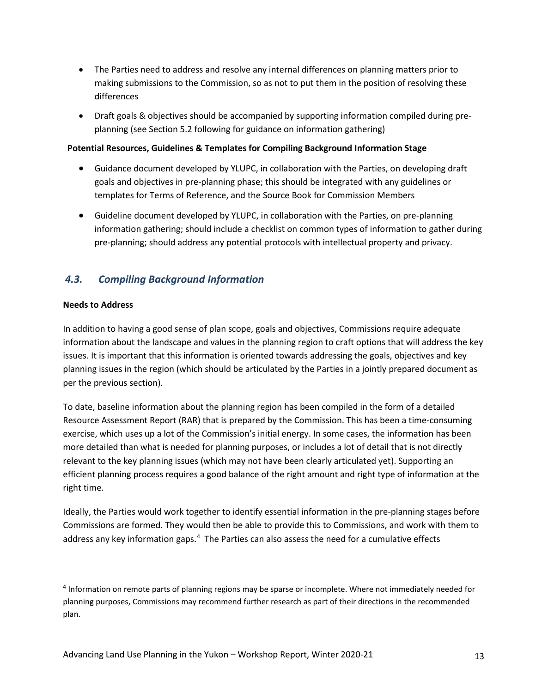- The Parties need to address and resolve any internal differences on planning matters prior to making submissions to the Commission, so as not to put them in the position of resolving these differences
- Draft goals & objectives should be accompanied by supporting information compiled during preplanning (see Section 5.2 following for guidance on information gathering)

### **Potential Resources, Guidelines & Templates for Compiling Background Information Stage**

- Guidance document developed by YLUPC, in collaboration with the Parties, on developing draft goals and objectives in pre-planning phase; this should be integrated with any guidelines or templates for Terms of Reference, and the Source Book for Commission Members
- Guideline document developed by YLUPC, in collaboration with the Parties, on pre-planning information gathering; should include a checklist on common types of information to gather during pre-planning; should address any potential protocols with intellectual property and privacy.

## <span id="page-12-0"></span>*4.3. Compiling Background Information*

### **Needs to Address**

In addition to having a good sense of plan scope, goals and objectives, Commissions require adequate information about the landscape and values in the planning region to craft options that will address the key issues. It is important that this information is oriented towards addressing the goals, objectives and key planning issues in the region (which should be articulated by the Parties in a jointly prepared document as per the previous section).

To date, baseline information about the planning region has been compiled in the form of a detailed Resource Assessment Report (RAR) that is prepared by the Commission. This has been a time-consuming exercise, which uses up a lot of the Commission's initial energy. In some cases, the information has been more detailed than what is needed for planning purposes, or includes a lot of detail that is not directly relevant to the key planning issues (which may not have been clearly articulated yet). Supporting an efficient planning process requires a good balance of the right amount and right type of information at the right time.

Ideally, the Parties would work together to identify essential information in the pre-planning stages before Commissions are formed. They would then be able to provide this to Commissions, and work with them to address any key information gaps.<sup>[4](#page-12-1)</sup> The Parties can also assess the need for a cumulative effects

<span id="page-12-1"></span><sup>4</sup> Information on remote parts of planning regions may be sparse or incomplete. Where not immediately needed for planning purposes, Commissions may recommend further research as part of their directions in the recommended plan.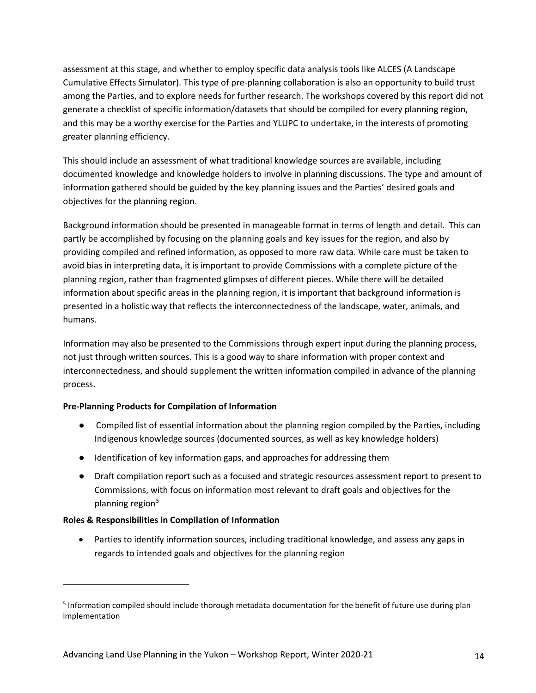assessment at this stage, and whether to employ specific data analysis tools like ALCES (A Landscape Cumulative Effects Simulator). This type of pre-planning collaboration is also an opportunity to build trust among the Parties, and to explore needs for further research. The workshops covered by this report did not generate a checklist of specific information/datasets that should be compiled for every planning region, and this may be a worthy exercise for the Parties and YLUPC to undertake, in the interests of promoting greater planning efficiency.

This should include an assessment of what traditional knowledge sources are available, including documented knowledge and knowledge holders to involve in planning discussions. The type and amount of information gathered should be guided by the key planning issues and the Parties' desired goals and objectives for the planning region.

Background information should be presented in manageable format in terms of length and detail. This can partly be accomplished by focusing on the planning goals and key issues for the region, and also by providing compiled and refined information, as opposed to more raw data. While care must be taken to avoid bias in interpreting data, it is important to provide Commissions with a complete picture of the planning region, rather than fragmented glimpses of different pieces. While there will be detailed information about specific areas in the planning region, it is important that background information is presented in a holistic way that reflects the interconnectedness of the landscape, water, animals, and humans.

Information may also be presented to the Commissions through expert input during the planning process, not just through written sources. This is a good way to share information with proper context and interconnectedness, and should supplement the written information compiled in advance of the planning process.

### **Pre-Planning Products for Compilation of Information**

- Compiled list of essential information about the planning region compiled by the Parties, including Indigenous knowledge sources (documented sources, as well as key knowledge holders)
- Identification of key information gaps, and approaches for addressing them
- Draft compilation report such as a focused and strategic resources assessment report to present to Commissions, with focus on information most relevant to draft goals and objectives for the planning region<sup>[5](#page-13-0)</sup>

### **Roles & Responsibilities in Compilation of Information**

• Parties to identify information sources, including traditional knowledge, and assess any gaps in regards to intended goals and objectives for the planning region

<span id="page-13-0"></span><sup>&</sup>lt;sup>5</sup> Information compiled should include thorough metadata documentation for the benefit of future use during plan implementation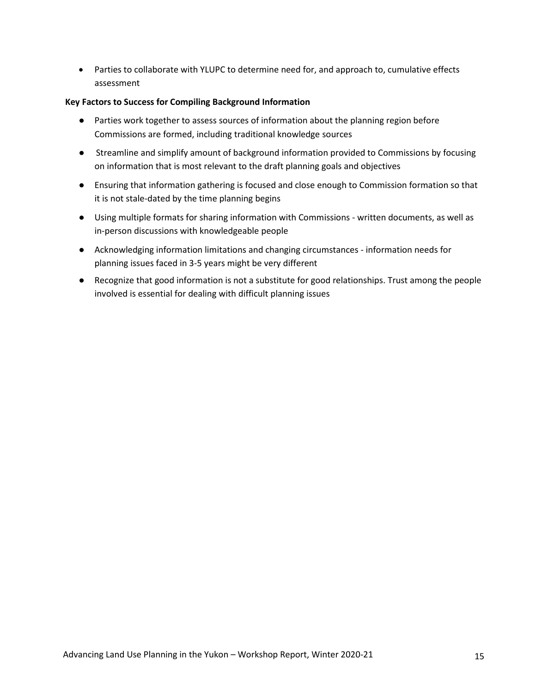• Parties to collaborate with YLUPC to determine need for, and approach to, cumulative effects assessment

### **Key Factors to Success for Compiling Background Information**

- Parties work together to assess sources of information about the planning region before Commissions are formed, including traditional knowledge sources
- Streamline and simplify amount of background information provided to Commissions by focusing on information that is most relevant to the draft planning goals and objectives
- Ensuring that information gathering is focused and close enough to Commission formation so that it is not stale-dated by the time planning begins
- Using multiple formats for sharing information with Commissions written documents, as well as in-person discussions with knowledgeable people
- Acknowledging information limitations and changing circumstances information needs for planning issues faced in 3-5 years might be very different
- Recognize that good information is not a substitute for good relationships. Trust among the people involved is essential for dealing with difficult planning issues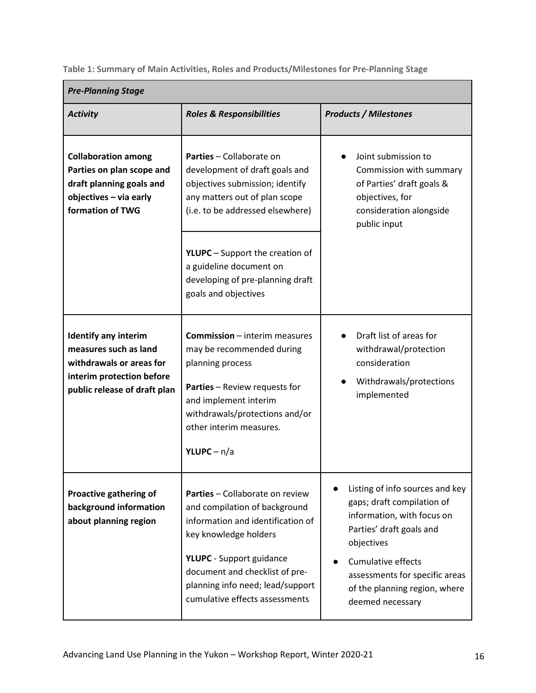<span id="page-15-0"></span>**Table 1: Summary of Main Activities, Roles and Products/Milestones for Pre-Planning Stage**

| <b>Pre-Planning Stage</b>                                                                                                                     |                                                                                                                                                                                                                                                                           |                                                                                                                                                                                                                                                           |  |  |
|-----------------------------------------------------------------------------------------------------------------------------------------------|---------------------------------------------------------------------------------------------------------------------------------------------------------------------------------------------------------------------------------------------------------------------------|-----------------------------------------------------------------------------------------------------------------------------------------------------------------------------------------------------------------------------------------------------------|--|--|
| <b>Activity</b>                                                                                                                               | <b>Roles &amp; Responsibilities</b>                                                                                                                                                                                                                                       | <b>Products / Milestones</b>                                                                                                                                                                                                                              |  |  |
| <b>Collaboration among</b><br>Parties on plan scope and<br>draft planning goals and<br>objectives - via early<br>formation of TWG             | Parties - Collaborate on<br>development of draft goals and<br>objectives submission; identify<br>any matters out of plan scope<br>(i.e. to be addressed elsewhere)                                                                                                        | Joint submission to<br>Commission with summary<br>of Parties' draft goals &<br>objectives, for<br>consideration alongside<br>public input                                                                                                                 |  |  |
|                                                                                                                                               | <b>YLUPC</b> – Support the creation of<br>a guideline document on<br>developing of pre-planning draft<br>goals and objectives                                                                                                                                             |                                                                                                                                                                                                                                                           |  |  |
| <b>Identify any interim</b><br>measures such as land<br>withdrawals or areas for<br>interim protection before<br>public release of draft plan | <b>Commission</b> - interim measures<br>may be recommended during<br>planning process<br><b>Parties</b> - Review requests for<br>and implement interim<br>withdrawals/protections and/or<br>other interim measures.<br>YLUPC – $n/a$                                      | Draft list of areas for<br>withdrawal/protection<br>consideration<br>Withdrawals/protections<br>implemented                                                                                                                                               |  |  |
| Proactive gathering of<br>background information<br>about planning region                                                                     | Parties - Collaborate on review<br>and compilation of background<br>information and identification of<br>key knowledge holders<br><b>YLUPC</b> - Support guidance<br>document and checklist of pre-<br>planning info need; lead/support<br>cumulative effects assessments | Listing of info sources and key<br>gaps; draft compilation of<br>information, with focus on<br>Parties' draft goals and<br>objectives<br><b>Cumulative effects</b><br>assessments for specific areas<br>of the planning region, where<br>deemed necessary |  |  |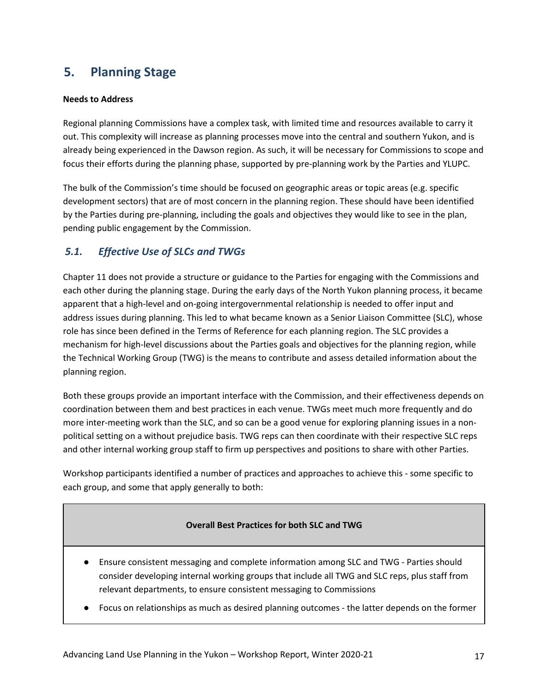## <span id="page-16-0"></span>**5. Planning Stage**

### **Needs to Address**

Regional planning Commissions have a complex task, with limited time and resources available to carry it out. This complexity will increase as planning processes move into the central and southern Yukon, and is already being experienced in the Dawson region. As such, it will be necessary for Commissions to scope and focus their efforts during the planning phase, supported by pre-planning work by the Parties and YLUPC.

The bulk of the Commission's time should be focused on geographic areas or topic areas (e.g. specific development sectors) that are of most concern in the planning region. These should have been identified by the Parties during pre-planning, including the goals and objectives they would like to see in the plan, pending public engagement by the Commission.

## <span id="page-16-1"></span>*5.1. Effective Use of SLCs and TWGs*

Chapter 11 does not provide a structure or guidance to the Parties for engaging with the Commissions and each other during the planning stage. During the early days of the North Yukon planning process, it became apparent that a high-level and on-going intergovernmental relationship is needed to offer input and address issues during planning. This led to what became known as a Senior Liaison Committee (SLC), whose role has since been defined in the Terms of Reference for each planning region. The SLC provides a mechanism for high-level discussions about the Parties goals and objectives for the planning region, while the Technical Working Group (TWG) is the means to contribute and assess detailed information about the planning region.

Both these groups provide an important interface with the Commission, and their effectiveness depends on coordination between them and best practices in each venue. TWGs meet much more frequently and do more inter-meeting work than the SLC, and so can be a good venue for exploring planning issues in a nonpolitical setting on a without prejudice basis. TWG reps can then coordinate with their respective SLC reps and other internal working group staff to firm up perspectives and positions to share with other Parties.

Workshop participants identified a number of practices and approaches to achieve this - some specific to each group, and some that apply generally to both:

### **Overall Best Practices for both SLC and TWG**

- Ensure consistent messaging and complete information among SLC and TWG Parties should consider developing internal working groups that include all TWG and SLC reps, plus staff from relevant departments, to ensure consistent messaging to Commissions
- Focus on relationships as much as desired planning outcomes the latter depends on the former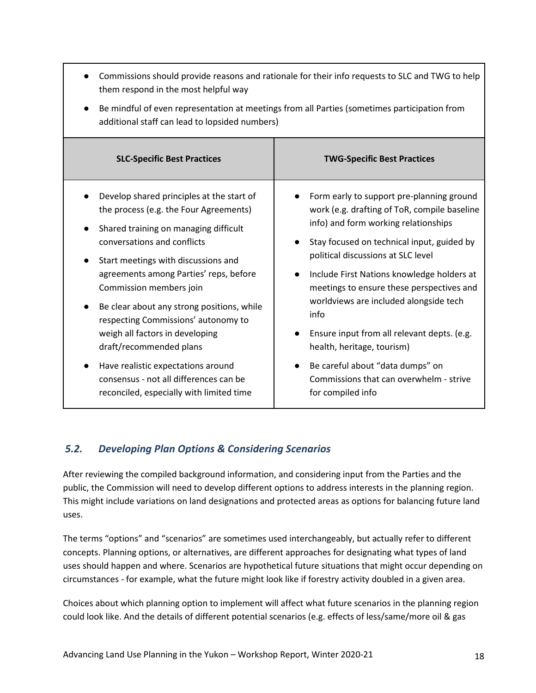| them respond in the most helpful way                                                                                                                                                                                                                                                                                                                                                                                                                                                                                                                   | Commissions should provide reasons and rationale for their info requests to SLC and TWG to help                                                                                                                                                                                                                                                                                                                                                                                                                                                                  |  |  |  |
|--------------------------------------------------------------------------------------------------------------------------------------------------------------------------------------------------------------------------------------------------------------------------------------------------------------------------------------------------------------------------------------------------------------------------------------------------------------------------------------------------------------------------------------------------------|------------------------------------------------------------------------------------------------------------------------------------------------------------------------------------------------------------------------------------------------------------------------------------------------------------------------------------------------------------------------------------------------------------------------------------------------------------------------------------------------------------------------------------------------------------------|--|--|--|
| Be mindful of even representation at meetings from all Parties (sometimes participation from<br>additional staff can lead to lopsided numbers)                                                                                                                                                                                                                                                                                                                                                                                                         |                                                                                                                                                                                                                                                                                                                                                                                                                                                                                                                                                                  |  |  |  |
| <b>SLC-Specific Best Practices</b>                                                                                                                                                                                                                                                                                                                                                                                                                                                                                                                     | <b>TWG-Specific Best Practices</b>                                                                                                                                                                                                                                                                                                                                                                                                                                                                                                                               |  |  |  |
| Develop shared principles at the start of<br>the process (e.g. the Four Agreements)<br>Shared training on managing difficult<br>conversations and conflicts<br>Start meetings with discussions and<br>agreements among Parties' reps, before<br>Commission members join<br>Be clear about any strong positions, while<br>respecting Commissions' autonomy to<br>weigh all factors in developing<br>draft/recommended plans<br>Have realistic expectations around<br>consensus - not all differences can be<br>reconciled, especially with limited time | Form early to support pre-planning ground<br>work (e.g. drafting of ToR, compile baseline<br>info) and form working relationships<br>Stay focused on technical input, guided by<br>political discussions at SLC level<br>Include First Nations knowledge holders at<br>$\bullet$<br>meetings to ensure these perspectives and<br>worldviews are included alongside tech<br>info<br>Ensure input from all relevant depts. (e.g.<br>health, heritage, tourism)<br>Be careful about "data dumps" on<br>Commissions that can overwhelm - strive<br>for compiled info |  |  |  |

## <span id="page-17-0"></span>*5.2. Developing Plan Options & Considering Scenarios*

After reviewing the compiled background information, and considering input from the Parties and the public, the Commission will need to develop different options to address interests in the planning region. This might include variations on land designations and protected areas as options for balancing future land uses.

The terms "options" and "scenarios" are sometimes used interchangeably, but actually refer to different concepts. Planning options, or alternatives, are different approaches for designating what types of land uses should happen and where. Scenarios are hypothetical future situations that might occur depending on circumstances - for example, what the future might look like if forestry activity doubled in a given area.

Choices about which planning option to implement will affect what future scenarios in the planning region could look like. And the details of different potential scenarios (e.g. effects of less/same/more oil & gas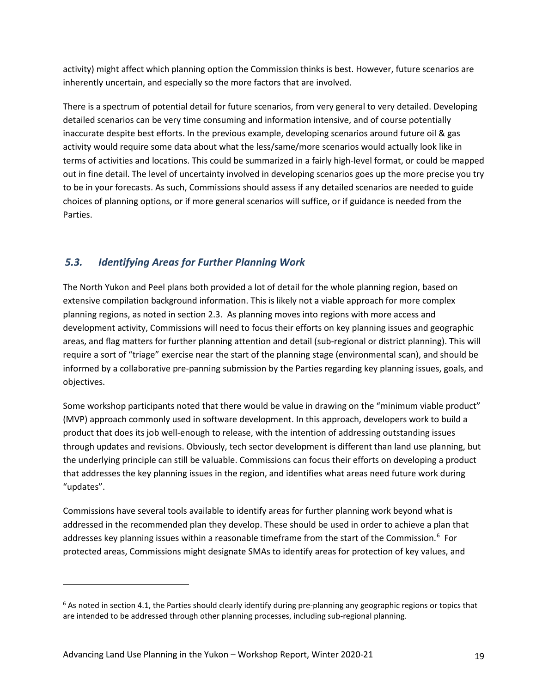activity) might affect which planning option the Commission thinks is best. However, future scenarios are inherently uncertain, and especially so the more factors that are involved.

There is a spectrum of potential detail for future scenarios, from very general to very detailed. Developing detailed scenarios can be very time consuming and information intensive, and of course potentially inaccurate despite best efforts. In the previous example, developing scenarios around future oil & gas activity would require some data about what the less/same/more scenarios would actually look like in terms of activities and locations. This could be summarized in a fairly high-level format, or could be mapped out in fine detail. The level of uncertainty involved in developing scenarios goes up the more precise you try to be in your forecasts. As such, Commissions should assess if any detailed scenarios are needed to guide choices of planning options, or if more general scenarios will suffice, or if guidance is needed from the Parties.

## <span id="page-18-0"></span>*5.3. Identifying Areas for Further Planning Work*

The North Yukon and Peel plans both provided a lot of detail for the whole planning region, based on extensive compilation background information. This is likely not a viable approach for more complex planning regions, as noted in section 2.3. As planning moves into regions with more access and development activity, Commissions will need to focus their efforts on key planning issues and geographic areas, and flag matters for further planning attention and detail (sub-regional or district planning). This will require a sort of "triage" exercise near the start of the planning stage (environmental scan), and should be informed by a collaborative pre-panning submission by the Parties regarding key planning issues, goals, and objectives.

Some workshop participants noted that there would be value in drawing on the "minimum viable product" (MVP) approach commonly used in software development. In this approach, developers work to build a product that does its job well-enough to release, with the intention of addressing outstanding issues through updates and revisions. Obviously, tech sector development is different than land use planning, but the underlying principle can still be valuable. Commissions can focus their efforts on developing a product that addresses the key planning issues in the region, and identifies what areas need future work during "updates".

Commissions have several tools available to identify areas for further planning work beyond what is addressed in the recommended plan they develop. These should be used in order to achieve a plan that addresses key planning issues within a reasonable timeframe from the start of the Commission.<sup>[6](#page-18-1)</sup> For protected areas, Commissions might designate SMAs to identify areas for protection of key values, and

<span id="page-18-1"></span> $6$  As noted in section 4.1, the Parties should clearly identify during pre-planning any geographic regions or topics that are intended to be addressed through other planning processes, including sub-regional planning.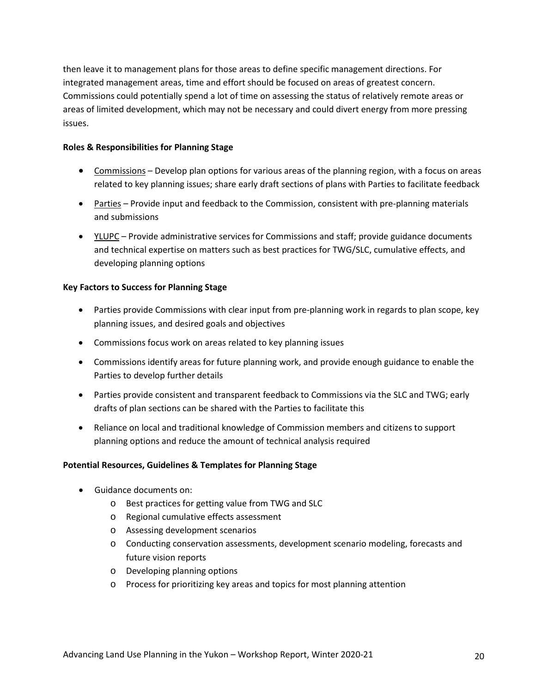then leave it to management plans for those areas to define specific management directions. For integrated management areas, time and effort should be focused on areas of greatest concern. Commissions could potentially spend a lot of time on assessing the status of relatively remote areas or areas of limited development, which may not be necessary and could divert energy from more pressing issues.

### **Roles & Responsibilities for Planning Stage**

- Commissions Develop plan options for various areas of the planning region, with a focus on areas related to key planning issues; share early draft sections of plans with Parties to facilitate feedback
- Parties Provide input and feedback to the Commission, consistent with pre-planning materials and submissions
- YLUPC Provide administrative services for Commissions and staff; provide guidance documents and technical expertise on matters such as best practices for TWG/SLC, cumulative effects, and developing planning options

### **Key Factors to Success for Planning Stage**

- Parties provide Commissions with clear input from pre-planning work in regards to plan scope, key planning issues, and desired goals and objectives
- Commissions focus work on areas related to key planning issues
- Commissions identify areas for future planning work, and provide enough guidance to enable the Parties to develop further details
- Parties provide consistent and transparent feedback to Commissions via the SLC and TWG; early drafts of plan sections can be shared with the Parties to facilitate this
- Reliance on local and traditional knowledge of Commission members and citizens to support planning options and reduce the amount of technical analysis required

### **Potential Resources, Guidelines & Templates for Planning Stage**

- Guidance documents on:
	- o Best practices for getting value from TWG and SLC
	- o Regional cumulative effects assessment
	- o Assessing development scenarios
	- o Conducting conservation assessments, development scenario modeling, forecasts and future vision reports
	- o Developing planning options
	- o Process for prioritizing key areas and topics for most planning attention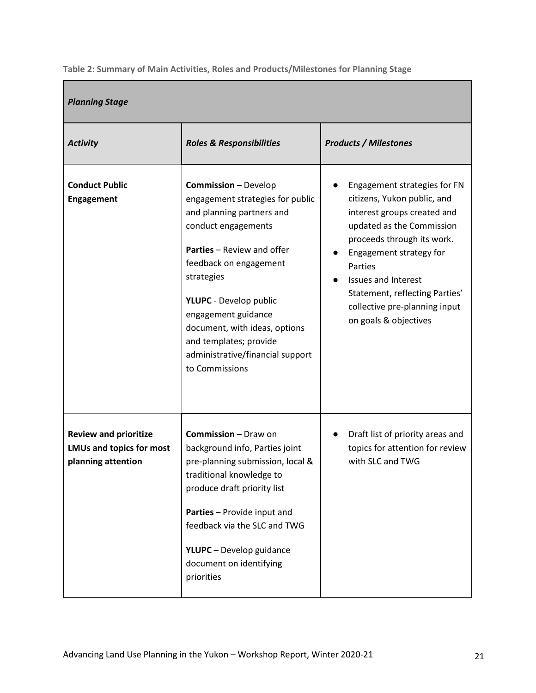<span id="page-20-0"></span>**Table 2: Summary of Main Activities, Roles and Products/Milestones for Planning Stage**

| <b>Planning Stage</b>                                                                 |                                                                                                                                                                                                                                                                                                                                                                           |                                                                                                                                                                                                                                                                                                                       |  |  |  |
|---------------------------------------------------------------------------------------|---------------------------------------------------------------------------------------------------------------------------------------------------------------------------------------------------------------------------------------------------------------------------------------------------------------------------------------------------------------------------|-----------------------------------------------------------------------------------------------------------------------------------------------------------------------------------------------------------------------------------------------------------------------------------------------------------------------|--|--|--|
| <b>Activity</b>                                                                       | <b>Roles &amp; Responsibilities</b>                                                                                                                                                                                                                                                                                                                                       | <b>Products / Milestones</b>                                                                                                                                                                                                                                                                                          |  |  |  |
| <b>Conduct Public</b><br>Engagement                                                   | <b>Commission</b> - Develop<br>engagement strategies for public<br>and planning partners and<br>conduct engagements<br><b>Parties</b> - Review and offer<br>feedback on engagement<br>strategies<br><b>YLUPC</b> - Develop public<br>engagement guidance<br>document, with ideas, options<br>and templates; provide<br>administrative/financial support<br>to Commissions | Engagement strategies for FN<br>citizens, Yukon public, and<br>interest groups created and<br>updated as the Commission<br>proceeds through its work.<br>Engagement strategy for<br>Parties<br><b>Issues and Interest</b><br>Statement, reflecting Parties'<br>collective pre-planning input<br>on goals & objectives |  |  |  |
| <b>Review and prioritize</b><br><b>LMUs and topics for most</b><br>planning attention | <b>Commission</b> – Draw on<br>background info, Parties joint<br>pre-planning submission, local &<br>traditional knowledge to<br>produce draft priority list<br>Parties - Provide input and<br>feedback via the SLC and TWG<br><b>YLUPC</b> - Develop guidance<br>document on identifying<br>priorities                                                                   | Draft list of priority areas and<br>topics for attention for review<br>with SLC and TWG                                                                                                                                                                                                                               |  |  |  |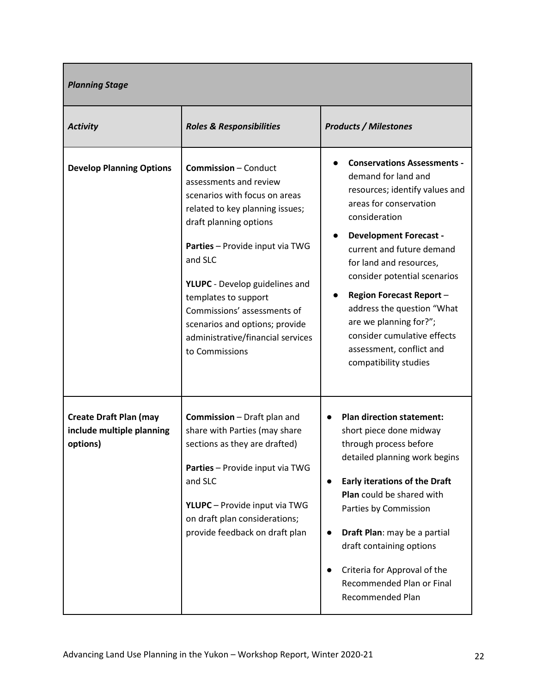| <b>Planning Stage</b>                                                  |                                                                                                                                                                                                                                                                                                                                                                                     |                                                                                                                                                                                                                                                                                                                                                                                                                                                |  |  |
|------------------------------------------------------------------------|-------------------------------------------------------------------------------------------------------------------------------------------------------------------------------------------------------------------------------------------------------------------------------------------------------------------------------------------------------------------------------------|------------------------------------------------------------------------------------------------------------------------------------------------------------------------------------------------------------------------------------------------------------------------------------------------------------------------------------------------------------------------------------------------------------------------------------------------|--|--|
| <b>Activity</b>                                                        | <b>Roles &amp; Responsibilities</b>                                                                                                                                                                                                                                                                                                                                                 | <b>Products / Milestones</b>                                                                                                                                                                                                                                                                                                                                                                                                                   |  |  |
| <b>Develop Planning Options</b>                                        | <b>Commission - Conduct</b><br>assessments and review<br>scenarios with focus on areas<br>related to key planning issues;<br>draft planning options<br>Parties - Provide input via TWG<br>and SLC<br>YLUPC - Develop guidelines and<br>templates to support<br>Commissions' assessments of<br>scenarios and options; provide<br>administrative/financial services<br>to Commissions | <b>Conservations Assessments -</b><br>demand for land and<br>resources; identify values and<br>areas for conservation<br>consideration<br><b>Development Forecast -</b><br>current and future demand<br>for land and resources,<br>consider potential scenarios<br><b>Region Forecast Report -</b><br>address the question "What<br>are we planning for?";<br>consider cumulative effects<br>assessment, conflict and<br>compatibility studies |  |  |
| <b>Create Draft Plan (may</b><br>include multiple planning<br>options) | <b>Commission</b> – Draft plan and<br>share with Parties (may share<br>sections as they are drafted)<br>Parties - Provide input via TWG<br>and SLC<br>YLUPC - Provide input via TWG<br>on draft plan considerations;<br>provide feedback on draft plan                                                                                                                              | <b>Plan direction statement:</b><br>short piece done midway<br>through process before<br>detailed planning work begins<br><b>Early iterations of the Draft</b><br>$\bullet$<br>Plan could be shared with<br>Parties by Commission<br>Draft Plan: may be a partial<br>$\bullet$<br>draft containing options<br>Criteria for Approval of the<br>$\bullet$<br>Recommended Plan or Final<br>Recommended Plan                                       |  |  |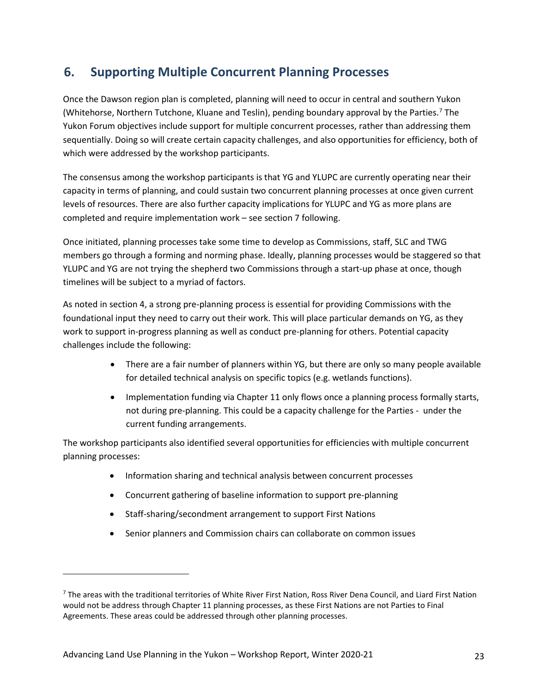## <span id="page-22-0"></span>**6. Supporting Multiple Concurrent Planning Processes**

Once the Dawson region plan is completed, planning will need to occur in central and southern Yukon (Whitehorse, Northern Tutchone, Kluane and Teslin), pending boundary approval by the Parties.[7](#page-22-1) The Yukon Forum objectives include support for multiple concurrent processes, rather than addressing them sequentially. Doing so will create certain capacity challenges, and also opportunities for efficiency, both of which were addressed by the workshop participants.

The consensus among the workshop participants is that YG and YLUPC are currently operating near their capacity in terms of planning, and could sustain two concurrent planning processes at once given current levels of resources. There are also further capacity implications for YLUPC and YG as more plans are completed and require implementation work – see section 7 following.

Once initiated, planning processes take some time to develop as Commissions, staff, SLC and TWG members go through a forming and norming phase. Ideally, planning processes would be staggered so that YLUPC and YG are not trying the shepherd two Commissions through a start-up phase at once, though timelines will be subject to a myriad of factors.

As noted in section 4, a strong pre-planning process is essential for providing Commissions with the foundational input they need to carry out their work. This will place particular demands on YG, as they work to support in-progress planning as well as conduct pre-planning for others. Potential capacity challenges include the following:

- There are a fair number of planners within YG, but there are only so many people available for detailed technical analysis on specific topics (e.g. wetlands functions).
- Implementation funding via Chapter 11 only flows once a planning process formally starts, not during pre-planning. This could be a capacity challenge for the Parties - under the current funding arrangements.

The workshop participants also identified several opportunities for efficiencies with multiple concurrent planning processes:

- Information sharing and technical analysis between concurrent processes
- Concurrent gathering of baseline information to support pre-planning
- Staff-sharing/secondment arrangement to support First Nations
- Senior planners and Commission chairs can collaborate on common issues

<span id="page-22-1"></span><sup>&</sup>lt;sup>7</sup> The areas with the traditional territories of White River First Nation, Ross River Dena Council, and Liard First Nation would not be address through Chapter 11 planning processes, as these First Nations are not Parties to Final Agreements. These areas could be addressed through other planning processes.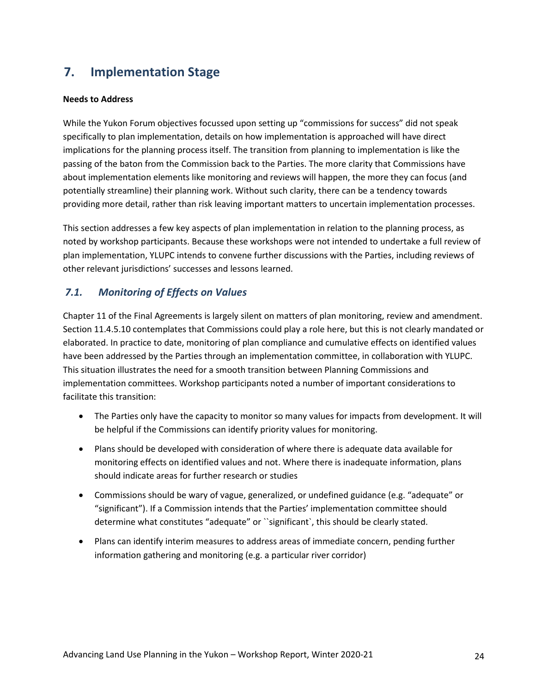## <span id="page-23-0"></span>**7. Implementation Stage**

### **Needs to Address**

While the Yukon Forum objectives focussed upon setting up "commissions for success" did not speak specifically to plan implementation, details on how implementation is approached will have direct implications for the planning process itself. The transition from planning to implementation is like the passing of the baton from the Commission back to the Parties. The more clarity that Commissions have about implementation elements like monitoring and reviews will happen, the more they can focus (and potentially streamline) their planning work. Without such clarity, there can be a tendency towards providing more detail, rather than risk leaving important matters to uncertain implementation processes.

This section addresses a few key aspects of plan implementation in relation to the planning process, as noted by workshop participants. Because these workshops were not intended to undertake a full review of plan implementation, YLUPC intends to convene further discussions with the Parties, including reviews of other relevant jurisdictions' successes and lessons learned.

## <span id="page-23-1"></span>*7.1. Monitoring of Effects on Values*

Chapter 11 of the Final Agreements is largely silent on matters of plan monitoring, review and amendment. Section 11.4.5.10 contemplates that Commissions could play a role here, but this is not clearly mandated or elaborated. In practice to date, monitoring of plan compliance and cumulative effects on identified values have been addressed by the Parties through an implementation committee, in collaboration with YLUPC. This situation illustrates the need for a smooth transition between Planning Commissions and implementation committees. Workshop participants noted a number of important considerations to facilitate this transition:

- The Parties only have the capacity to monitor so many values for impacts from development. It will be helpful if the Commissions can identify priority values for monitoring.
- Plans should be developed with consideration of where there is adequate data available for monitoring effects on identified values and not. Where there is inadequate information, plans should indicate areas for further research or studies
- Commissions should be wary of vague, generalized, or undefined guidance (e.g. "adequate" or "significant"). If a Commission intends that the Parties' implementation committee should determine what constitutes "adequate" or ``significant`, this should be clearly stated.
- Plans can identify interim measures to address areas of immediate concern, pending further information gathering and monitoring (e.g. a particular river corridor)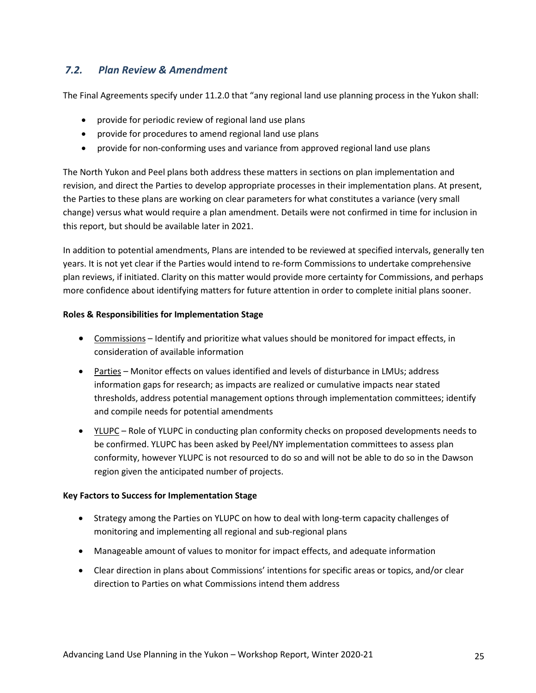## <span id="page-24-0"></span>*7.2. Plan Review & Amendment*

The Final Agreements specify under 11.2.0 that "any regional land use planning process in the Yukon shall:

- provide for periodic review of regional land use plans
- provide for procedures to amend regional land use plans
- provide for non-conforming uses and variance from approved regional land use plans

The North Yukon and Peel plans both address these matters in sections on plan implementation and revision, and direct the Parties to develop appropriate processes in their implementation plans. At present, the Parties to these plans are working on clear parameters for what constitutes a variance (very small change) versus what would require a plan amendment. Details were not confirmed in time for inclusion in this report, but should be available later in 2021.

In addition to potential amendments, Plans are intended to be reviewed at specified intervals, generally ten years. It is not yet clear if the Parties would intend to re-form Commissions to undertake comprehensive plan reviews, if initiated. Clarity on this matter would provide more certainty for Commissions, and perhaps more confidence about identifying matters for future attention in order to complete initial plans sooner.

### **Roles & Responsibilities for Implementation Stage**

- Commissions Identify and prioritize what values should be monitored for impact effects, in consideration of available information
- Parties Monitor effects on values identified and levels of disturbance in LMUs; address information gaps for research; as impacts are realized or cumulative impacts near stated thresholds, address potential management options through implementation committees; identify and compile needs for potential amendments
- YLUPC Role of YLUPC in conducting plan conformity checks on proposed developments needs to be confirmed. YLUPC has been asked by Peel/NY implementation committees to assess plan conformity, however YLUPC is not resourced to do so and will not be able to do so in the Dawson region given the anticipated number of projects.

### **Key Factors to Success for Implementation Stage**

- Strategy among the Parties on YLUPC on how to deal with long-term capacity challenges of monitoring and implementing all regional and sub-regional plans
- Manageable amount of values to monitor for impact effects, and adequate information
- Clear direction in plans about Commissions' intentions for specific areas or topics, and/or clear direction to Parties on what Commissions intend them address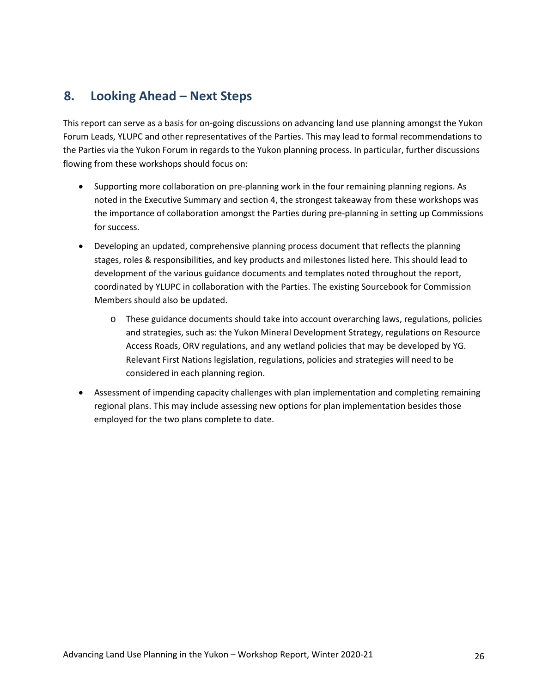## <span id="page-25-0"></span>**8. Looking Ahead – Next Steps**

This report can serve as a basis for on-going discussions on advancing land use planning amongst the Yukon Forum Leads, YLUPC and other representatives of the Parties. This may lead to formal recommendations to the Parties via the Yukon Forum in regards to the Yukon planning process. In particular, further discussions flowing from these workshops should focus on:

- Supporting more collaboration on pre-planning work in the four remaining planning regions. As noted in the Executive Summary and section 4, the strongest takeaway from these workshops was the importance of collaboration amongst the Parties during pre-planning in setting up Commissions for success.
- Developing an updated, comprehensive planning process document that reflects the planning stages, roles & responsibilities, and key products and milestones listed here. This should lead to development of the various guidance documents and templates noted throughout the report, coordinated by YLUPC in collaboration with the Parties. The existing Sourcebook for Commission Members should also be updated.
	- o These guidance documents should take into account overarching laws, regulations, policies and strategies, such as: the Yukon Mineral Development Strategy, regulations on Resource Access Roads, ORV regulations, and any wetland policies that may be developed by YG. Relevant First Nations legislation, regulations, policies and strategies will need to be considered in each planning region.
- Assessment of impending capacity challenges with plan implementation and completing remaining regional plans. This may include assessing new options for plan implementation besides those employed for the two plans complete to date.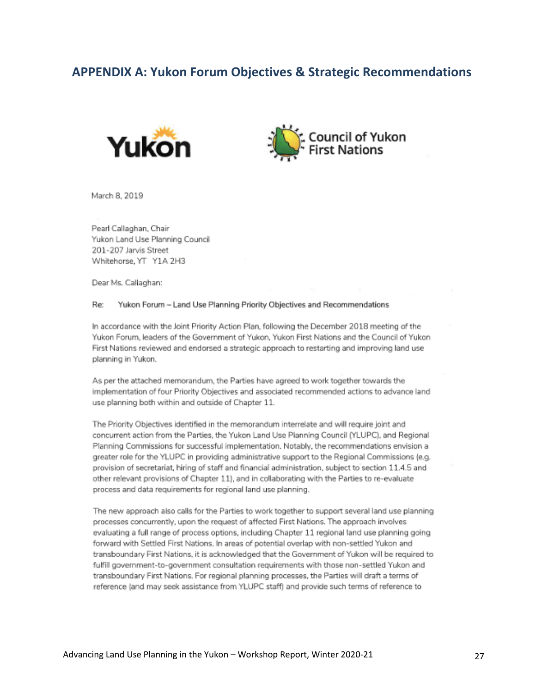## <span id="page-26-0"></span>**APPENDIX A: Yukon Forum Objectives & Strategic Recommendations**





March 8, 2019

Pearl Callaghan, Chair Yukon Land Use Planning Council 201-207 Jarvis Street Whitehorse, YT Y1A 2H3

Dear Ms. Callaghan:

#### Re: Yukon Forum -- Land Use Planning Priority Objectives and Recommendations

In accordance with the Joint Priority Action Plan, following the December 2018 meeting of the Yukon Forum, leaders of the Government of Yukon, Yukon First Nations and the Council of Yukon First Nations reviewed and endorsed a strategic approach to restarting and improving land use planning in Yukon.

As per the attached memorandum, the Parties have agreed to work together towards the implementation of four Priority Objectives and associated recommended actions to advance land use planning both within and outside of Chapter 11.

The Priority Objectives identified in the memorandum interrelate and will require joint and concurrent action from the Parties, the Yukon Land Use Planning Council (YLUPC), and Regional Planning Commissions for successful implementation. Notably, the recommendations envision a greater role for the YLUPC in providing administrative support to the Regional Commissions (e.g. provision of secretariat, hiring of staff and financial administration, subject to section 11.4.5 and other relevant provisions of Chapter 11), and in collaborating with the Parties to re-evaluate process and data requirements for regional land use planning.

The new approach also calls for the Parties to work together to support several land use planning processes concurrently, upon the request of affected First Nations. The approach involves evaluating a full range of process options, including Chapter 11 regional land use planning going forward with Settled First Nations. In areas of potential overlap with non-settled Yukon and transboundary First Nations, it is acknowledged that the Government of Yukon will be required to fulfill government-to-government consultation requirements with those non-settled Yukon and transboundary First Nations. For regional planning processes, the Parties will draft a terms of reference (and may seek assistance from YLUPC staff) and provide such terms of reference to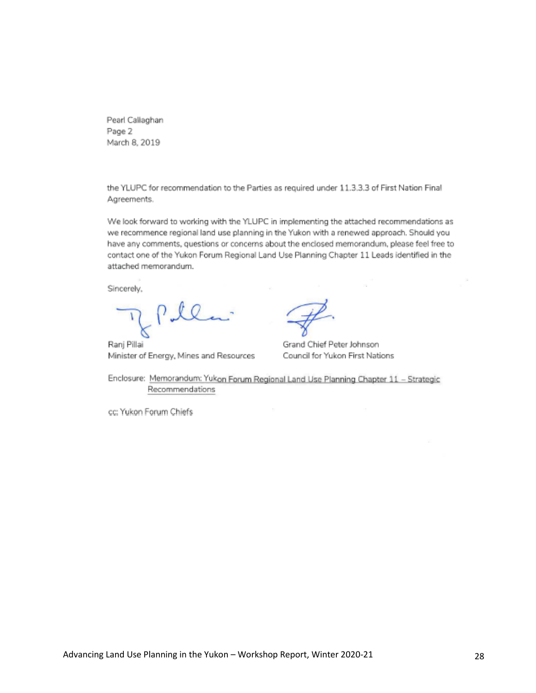Pearl Callaghan Page 2 March 8, 2019

the YLUPC for recommendation to the Parties as required under 11.3.3.3 of First Nation Final Agreements.

We look forward to working with the YLUPC in implementing the attached recommendations as we recommence regional land use planning in the Yukon with a renewed approach. Should you have any comments, questions or concerns about the enclosed memorandum, please feel free to contact one of the Yukon Forum Regional Land Use Planning Chapter 11 Leads identified in the attached memorandum.

Sincerely,

Ranj Pillai Minister of Energy, Mines and Resources

Grand Chief Peter Johnson Council for Yukon First Nations

Enclosure: Memorandum: Yukon Forum Regional Land Use Planning Chapter 11 - Strategic Recommendations

cc: Yukon Forum Chiefs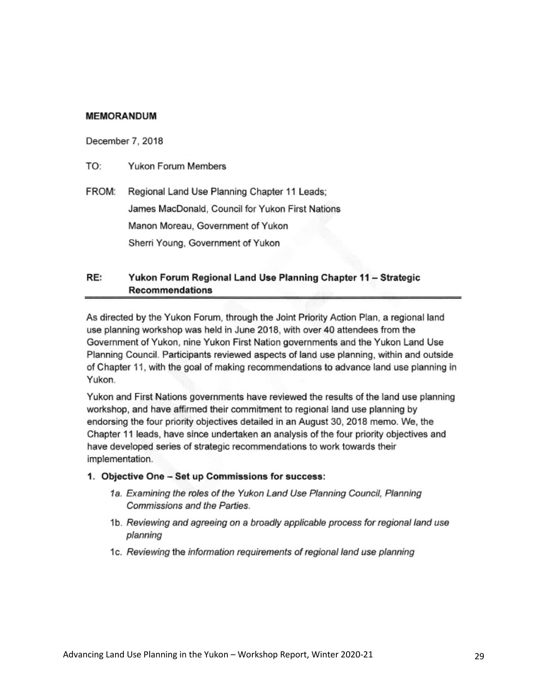### **MEMORANDUM**

December 7, 2018

TO: Yukon Forum Members

FROM: Regional Land Use Planning Chapter 11 Leads; James MacDonald, Council for Yukon First Nations Manon Moreau, Government of Yukon Sherri Young, Government of Yukon

#### RE: Yukon Forum Regional Land Use Planning Chapter 11 - Strategic **Recommendations**

As directed by the Yukon Forum, through the Joint Priority Action Plan, a regional land use planning workshop was held in June 2018, with over 40 attendees from the Government of Yukon, nine Yukon First Nation governments and the Yukon Land Use Planning Council. Participants reviewed aspects of land use planning, within and outside of Chapter 11, with the goal of making recommendations to advance land use planning in Yukon.

Yukon and First Nations governments have reviewed the results of the land use planning workshop, and have affirmed their commitment to regional land use planning by endorsing the four priority objectives detailed in an August 30, 2018 memo. We, the Chapter 11 leads, have since undertaken an analysis of the four priority objectives and have developed series of strategic recommendations to work towards their implementation.

- 1. Objective One Set up Commissions for success:
	- 1a. Examining the roles of the Yukon Land Use Planning Council, Planning Commissions and the Parties.
	- 1b. Reviewing and agreeing on a broadly applicable process for regional land use planning
	- 1c. Reviewing the information requirements of regional land use planning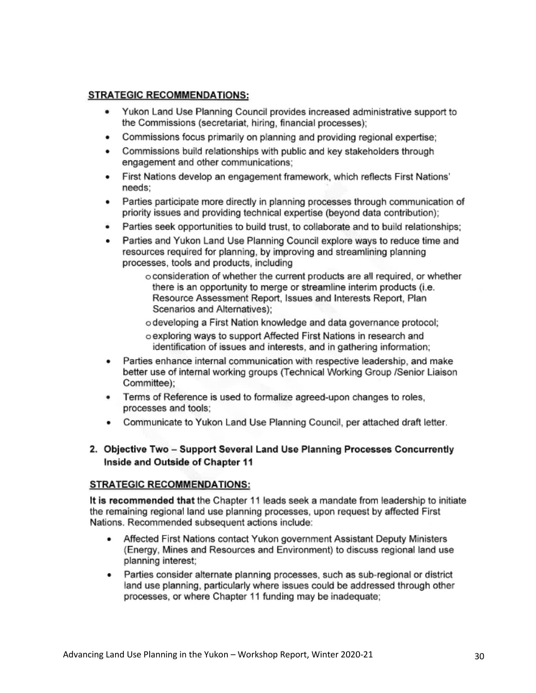### **STRATEGIC RECOMMENDATIONS:**

- Yukon Land Use Planning Council provides increased administrative support to the Commissions (secretariat, hiring, financial processes);
- Commissions focus primarily on planning and providing regional expertise; ٠
- Commissions build relationships with public and key stakeholders through ٠ engagement and other communications;
- First Nations develop an engagement framework, which reflects First Nations' needs:
- Parties participate more directly in planning processes through communication of priority issues and providing technical expertise (beyond data contribution);
- Parties seek opportunities to build trust, to collaborate and to build relationships;
- Parties and Yukon Land Use Planning Council explore ways to reduce time and resources required for planning, by improving and streamlining planning processes, tools and products, including

o consideration of whether the current products are all required, or whether there is an opportunity to merge or streamline interim products (i.e. Resource Assessment Report, Issues and Interests Report, Plan Scenarios and Alternatives):

- o developing a First Nation knowledge and data governance protocol;
- o exploring ways to support Affected First Nations in research and identification of issues and interests, and in gathering information;
- Parties enhance internal communication with respective leadership, and make better use of internal working groups (Technical Working Group /Senior Liaison Committee);
- Terms of Reference is used to formalize agreed-upon changes to roles, processes and tools;
- Communicate to Yukon Land Use Planning Council, per attached draft letter.
- 2. Objective Two Support Several Land Use Planning Processes Concurrently Inside and Outside of Chapter 11

### **STRATEGIC RECOMMENDATIONS:**

It is recommended that the Chapter 11 leads seek a mandate from leadership to initiate the remaining regional land use planning processes, upon request by affected First Nations. Recommended subsequent actions include:

- Affected First Nations contact Yukon government Assistant Deputy Ministers (Energy, Mines and Resources and Environment) to discuss regional land use planning interest;
- Parties consider alternate planning processes, such as sub-regional or district land use planning, particularly where issues could be addressed through other processes, or where Chapter 11 funding may be inadequate;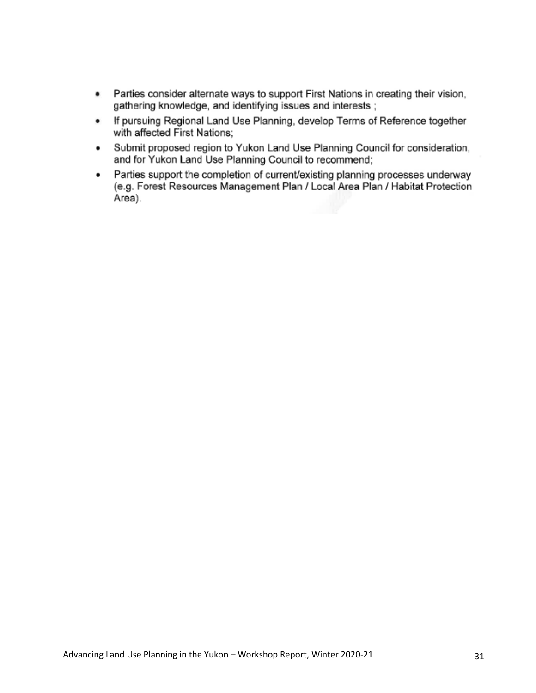- Parties consider alternate ways to support First Nations in creating their vision.  $\bullet$ gathering knowledge, and identifying issues and interests;
- If pursuing Regional Land Use Planning, develop Terms of Reference together  $\bullet$ with affected First Nations:
- Submit proposed region to Yukon Land Use Planning Council for consideration, . and for Yukon Land Use Planning Council to recommend;
- Parties support the completion of current/existing planning processes underway ٠ (e.g. Forest Resources Management Plan / Local Area Plan / Habitat Protection Area).